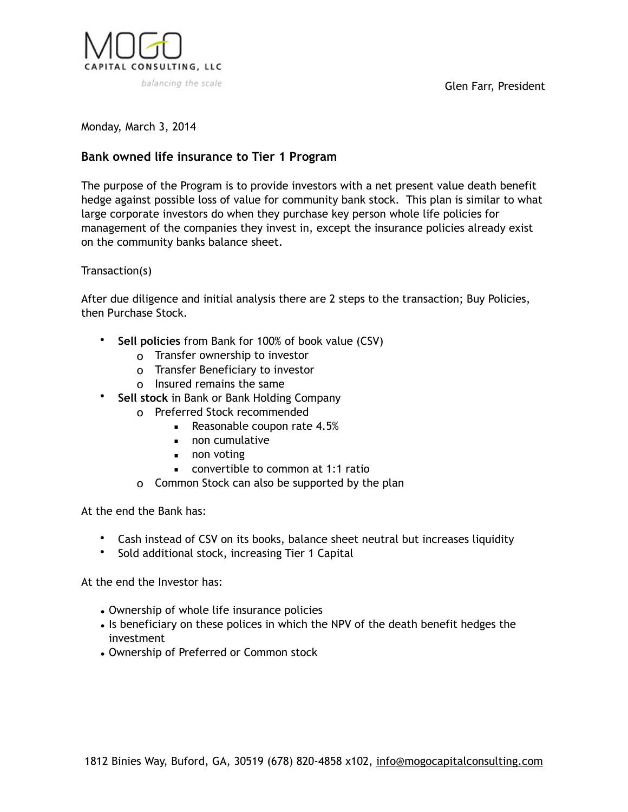

Glen Farr, President

Monday, March 3, 2014

## **Bank owned life insurance to Tier 1 Program**

The purpose of the Program is to provide investors with a net present value death benefit hedge against possible loss of value for community bank stock. This plan is similar to what large corporate investors do when they purchase key person whole life policies for management of the companies they invest in, except the insurance policies already exist on the community banks balance sheet.

## Transaction(s)

After due diligence and initial analysis there are 2 steps to the transaction; Buy Policies, then Purchase Stock.

- **Sell policies** from Bank for 100% of book value (CSV)
	- o Transfer ownership to investor
	- o Transfer Beneficiary to investor
	- o Insured remains the same
- **Sell stock** in Bank or Bank Holding Company
	- o Preferred Stock recommended
		- Reasonable coupon rate 4.5%
		- non cumulative
		- non voting
		- convertible to common at 1:1 ratio
	- o Common Stock can also be supported by the plan

At the end the Bank has:

- Cash instead of CSV on its books, balance sheet neutral but increases liquidity
- Sold additional stock, increasing Tier 1 Capital

At the end the Investor has:

- Ownership of whole life insurance policies
- Is beneficiary on these polices in which the NPV of the death benefit hedges the investment
- Ownership of Preferred or Common stock